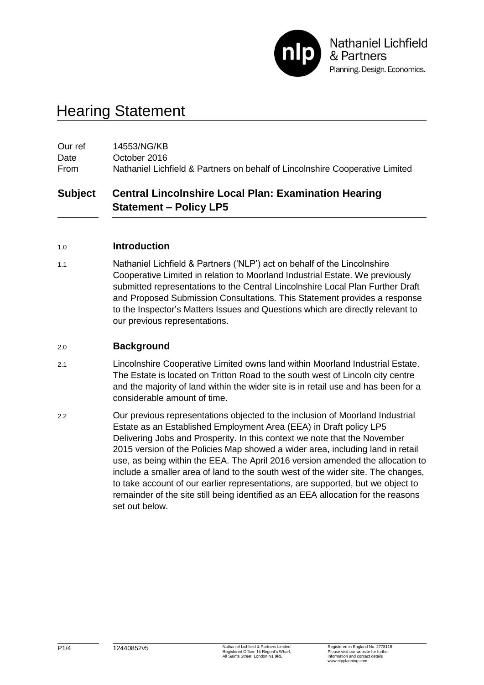

# Hearing Statement

| Our ref | 14553/NG/KB                                                                  |
|---------|------------------------------------------------------------------------------|
| Date    | October 2016                                                                 |
| From    | Nathaniel Lichfield & Partners on behalf of Lincolnshire Cooperative Limited |

## **Subject Central Lincolnshire Local Plan: Examination Hearing Statement – Policy LP5**

#### 1.0 **Introduction**

1.1 Nathaniel Lichfield & Partners ('NLP') act on behalf of the Lincolnshire Cooperative Limited in relation to Moorland Industrial Estate. We previously submitted representations to the Central Lincolnshire Local Plan Further Draft and Proposed Submission Consultations. This Statement provides a response to the Inspector's Matters Issues and Questions which are directly relevant to our previous representations.

#### 2.0 **Background**

- 2.1 Lincolnshire Cooperative Limited owns land within Moorland Industrial Estate. The Estate is located on Tritton Road to the south west of Lincoln city centre and the majority of land within the wider site is in retail use and has been for a considerable amount of time.
- 2.2 Our previous representations objected to the inclusion of Moorland Industrial Estate as an Established Employment Area (EEA) in Draft policy LP5 Delivering Jobs and Prosperity. In this context we note that the November 2015 version of the Policies Map showed a wider area, including land in retail use, as being within the EEA. The April 2016 version amended the allocation to include a smaller area of land to the south west of the wider site. The changes, to take account of our earlier representations, are supported, but we object to remainder of the site still being identified as an EEA allocation for the reasons set out below.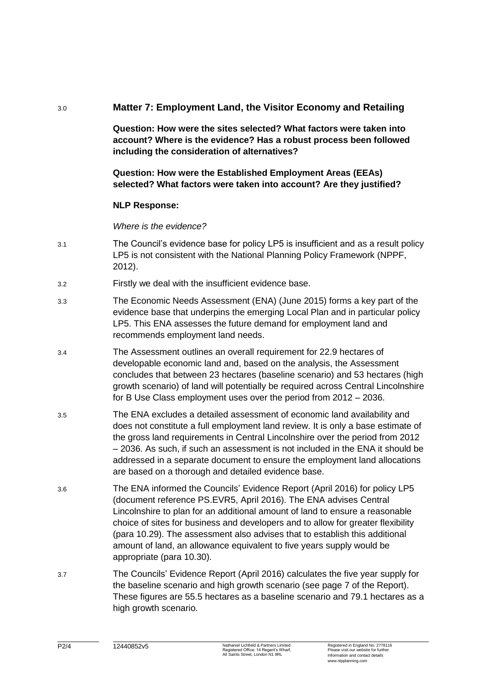### 3.0 **Matter 7: Employment Land, the Visitor Economy and Retailing**

**Question: How were the sites selected? What factors were taken into account? Where is the evidence? Has a robust process been followed including the consideration of alternatives?**

### **Question: How were the Established Employment Areas (EEAs) selected? What factors were taken into account? Are they justified?**

#### **NLP Response:**

*Where is the evidence?*

- 3.1 The Council's evidence base for policy LP5 is insufficient and as a result policy LP5 is not consistent with the National Planning Policy Framework (NPPF, 2012).
- 3.2 Firstly we deal with the insufficient evidence base.
- 3.3 The Economic Needs Assessment (ENA) (June 2015) forms a key part of the evidence base that underpins the emerging Local Plan and in particular policy LP5. This ENA assesses the future demand for employment land and recommends employment land needs.
- 3.4 The Assessment outlines an overall requirement for 22.9 hectares of developable economic land and, based on the analysis, the Assessment concludes that between 23 hectares (baseline scenario) and 53 hectares (high growth scenario) of land will potentially be required across Central Lincolnshire for B Use Class employment uses over the period from 2012 – 2036.
- 3.5 The ENA excludes a detailed assessment of economic land availability and does not constitute a full employment land review. It is only a base estimate of the gross land requirements in Central Lincolnshire over the period from 2012 – 2036. As such, if such an assessment is not included in the ENA it should be addressed in a separate document to ensure the employment land allocations are based on a thorough and detailed evidence base.
- 3.6 The ENA informed the Councils' Evidence Report (April 2016) for policy LP5 (document reference PS.EVR5, April 2016). The ENA advises Central Lincolnshire to plan for an additional amount of land to ensure a reasonable choice of sites for business and developers and to allow for greater flexibility (para 10.29). The assessment also advises that to establish this additional amount of land, an allowance equivalent to five years supply would be appropriate (para 10.30).
- 3.7 The Councils' Evidence Report (April 2016) calculates the five year supply for the baseline scenario and high growth scenario (see page 7 of the Report). These figures are 55.5 hectares as a baseline scenario and 79.1 hectares as a high growth scenario.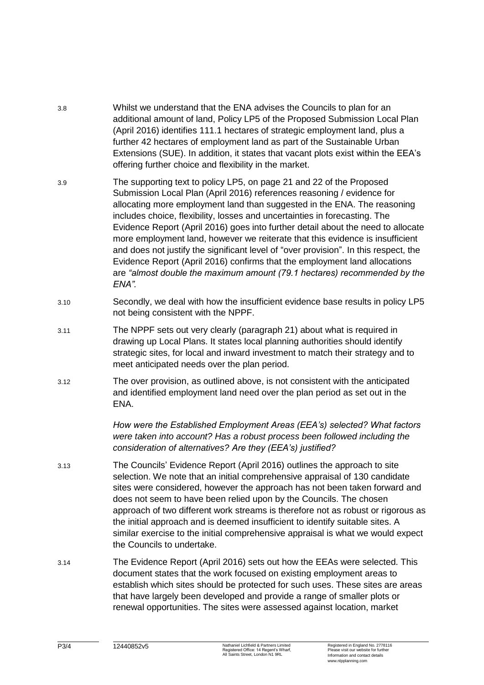- 3.8 Whilst we understand that the ENA advises the Councils to plan for an additional amount of land, Policy LP5 of the Proposed Submission Local Plan (April 2016) identifies 111.1 hectares of strategic employment land, plus a further 42 hectares of employment land as part of the Sustainable Urban Extensions (SUE). In addition, it states that vacant plots exist within the EEA's offering further choice and flexibility in the market.
- 3.9 The supporting text to policy LP5, on page 21 and 22 of the Proposed Submission Local Plan (April 2016) references reasoning / evidence for allocating more employment land than suggested in the ENA. The reasoning includes choice, flexibility, losses and uncertainties in forecasting. The Evidence Report (April 2016) goes into further detail about the need to allocate more employment land, however we reiterate that this evidence is insufficient and does not justify the significant level of "over provision". In this respect, the Evidence Report (April 2016) confirms that the employment land allocations are *"almost double the maximum amount (79.1 hectares) recommended by the ENA".*
- 3.10 Secondly, we deal with how the insufficient evidence base results in policy LP5 not being consistent with the NPPF.
- 3.11 The NPPF sets out very clearly (paragraph 21) about what is required in drawing up Local Plans. It states local planning authorities should identify strategic sites, for local and inward investment to match their strategy and to meet anticipated needs over the plan period.
- 3.12 The over provision, as outlined above, is not consistent with the anticipated and identified employment land need over the plan period as set out in the ENA.

*How were the Established Employment Areas (EEA's) selected? What factors were taken into account? Has a robust process been followed including the consideration of alternatives? Are they (EEA's) justified?*

- 3.13 The Councils' Evidence Report (April 2016) outlines the approach to site selection. We note that an initial comprehensive appraisal of 130 candidate sites were considered, however the approach has not been taken forward and does not seem to have been relied upon by the Councils. The chosen approach of two different work streams is therefore not as robust or rigorous as the initial approach and is deemed insufficient to identify suitable sites. A similar exercise to the initial comprehensive appraisal is what we would expect the Councils to undertake.
- 3.14 The Evidence Report (April 2016) sets out how the EEAs were selected. This document states that the work focused on existing employment areas to establish which sites should be protected for such uses. These sites are areas that have largely been developed and provide a range of smaller plots or renewal opportunities. The sites were assessed against location, market